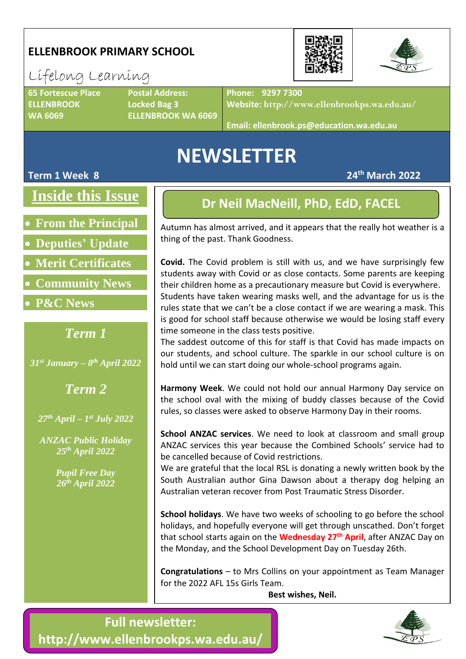## **ELLENBROOK PRIMARY SCHOOL**

## Lifelong Learning

**ELLENBROOK Locked Bag 3**

**65 Fortescue Place Postal Address: WA 6069 ELLENBROOK WA 6069** **Phone: 9297 7300**

**Website: http://www.ellenbrookps.wa.edu.au/**

**Email: ellenbrook.ps@education.wa.edu.au**

## **NEWSLETTER**

#### **Term 1 Week 8 24th March 2022**

**Inside this Issue**

• **From the Principal**

• **Deputies' Update**

• **Merit Certificates**

- **Community News**
- **P&C News**

### *Term 1*

*31st January – 8 th April 2022*

*Term 2*

*27th April – 1 st July 2022*

*ANZAC Public Holiday 25th April 2022*

> *Pupil Free Day 26th April 2022*

### **Dr Neil MacNeill, PhD, EdD, FACEL**

Autumn has almost arrived, and it appears that the really hot weather is a thing of the past. Thank Goodness.

**Covid.** The Covid problem is still with us, and we have surprisingly few students away with Covid or as close contacts. Some parents are keeping their children home as a precautionary measure but Covid is everywhere. Students have taken wearing masks well, and the advantage for us is the rules state that we can't be a close contact if we are wearing a mask. This is good for school staff because otherwise we would be losing staff every time someone in the class tests positive.

The saddest outcome of this for staff is that Covid has made impacts on our students, and school culture. The sparkle in our school culture is on hold until we can start doing our whole-school programs again.

**Harmony Week**. We could not hold our annual Harmony Day service on the school oval with the mixing of buddy classes because of the Covid rules, so classes were asked to observe Harmony Day in their rooms.

**School ANZAC services**. We need to look at classroom and small group ANZAC services this year because the Combined Schools' service had to be cancelled because of Covid restrictions.

We are grateful that the local RSL is donating a newly written book by the South Australian author Gina Dawson about a therapy dog helping an Australian veteran recover from Post Traumatic Stress Disorder.

**School holidays**. We have two weeks of schooling to go before the school holidays, and hopefully everyone will get through unscathed. Don't forget that school starts again on the **Wednesday 27 th April**, after ANZAC Day on the Monday, and the School Development Day on Tuesday 26th.

**Congratulations** – to Mrs Collins on your appointment as Team Manager for the 2022 AFL 15s Girls Team.

**Best wishes, Neil.**





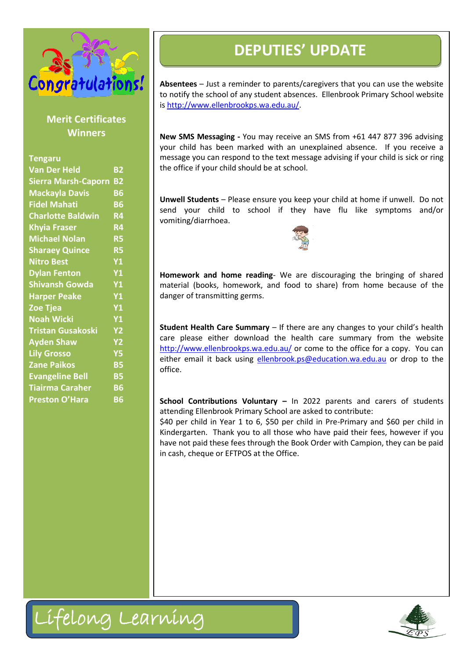

|                                                                                                                                                                                                                                                                                                                                                                                                                                                                                                                                                            |                                                                                                                                                                                                                                                                  | <b>DEPUTIES' UPDATE</b>                                                                                                                                                                                                                                                                                                                                                                                                                                                                                                                                                                                                                                                                                                                                                                                                                                                                                                                                                                                                                                                                                                 |
|------------------------------------------------------------------------------------------------------------------------------------------------------------------------------------------------------------------------------------------------------------------------------------------------------------------------------------------------------------------------------------------------------------------------------------------------------------------------------------------------------------------------------------------------------------|------------------------------------------------------------------------------------------------------------------------------------------------------------------------------------------------------------------------------------------------------------------|-------------------------------------------------------------------------------------------------------------------------------------------------------------------------------------------------------------------------------------------------------------------------------------------------------------------------------------------------------------------------------------------------------------------------------------------------------------------------------------------------------------------------------------------------------------------------------------------------------------------------------------------------------------------------------------------------------------------------------------------------------------------------------------------------------------------------------------------------------------------------------------------------------------------------------------------------------------------------------------------------------------------------------------------------------------------------------------------------------------------------|
| Congratulations!<br><b>Merit Certificates</b>                                                                                                                                                                                                                                                                                                                                                                                                                                                                                                              |                                                                                                                                                                                                                                                                  | Absentees - Just a reminder to parents/caregivers that yo<br>to notify the school of any student absences. Ellenbrook P<br>is http://www.ellenbrookps.wa.edu.au/.                                                                                                                                                                                                                                                                                                                                                                                                                                                                                                                                                                                                                                                                                                                                                                                                                                                                                                                                                       |
|                                                                                                                                                                                                                                                                                                                                                                                                                                                                                                                                                            |                                                                                                                                                                                                                                                                  |                                                                                                                                                                                                                                                                                                                                                                                                                                                                                                                                                                                                                                                                                                                                                                                                                                                                                                                                                                                                                                                                                                                         |
| <b>Winners</b><br><b>Tengaru</b><br><b>Van Der Held</b><br><b>Sierra Marsh-Caporn B2</b><br><b>Mackayla Davis</b><br><b>Fidel Mahati</b><br><b>Charlotte Baldwin</b><br><b>Khyia Fraser</b><br><b>Michael Nolan</b><br><b>Sharaey Quince</b><br><b>Nitro Best</b><br><b>Dylan Fenton</b><br><b>Shivansh Gowda</b><br><b>Harper Peake</b><br><b>Zoe Tjea</b><br><b>Noah Wicki</b><br><b>Tristan Gusakoski</b><br><b>Ayden Shaw</b><br><b>Lily Grosso</b><br><b>Zane Paikos</b><br><b>Evangeline Bell</b><br><b>Tiairma Caraher</b><br><b>Preston O'Hara</b> | <b>B2</b><br><b>B6</b><br><b>B6</b><br><b>R4</b><br><b>R4</b><br><b>R5</b><br><b>R5</b><br><b>Y1</b><br><b>Y1</b><br><b>Y1</b><br><b>Y1</b><br><b>Y1</b><br><b>Y1</b><br><b>Y2</b><br><b>Y2</b><br><b>Y5</b><br><b>B5</b><br><b>B5</b><br><b>B6</b><br><b>B6</b> | New SMS Messaging - You may receive an SMS from +61<br>your child has been marked with an unexplained abser<br>message you can respond to the text message advising if y<br>the office if your child should be at school.<br>Unwell Students - Please ensure you keep your child at he<br>send your child to school if they have flu like<br>vomiting/diarrhoea.<br>Homework and home reading- We are discouraging the<br>material (books, homework, and food to share) from I<br>danger of transmitting germs.<br>Student Health Care Summary - If there are any changes<br>care please either download the health care summa<br>http://www.ellenbrookps.wa.edu.au/ or come to the offic<br>either email it back using ellenbrook.ps@education.wa.e<br>office.<br>School Contributions Voluntary - In 2022 parents an<br>attending Ellenbrook Primary School are asked to contribut<br>\$40 per child in Year 1 to 6, \$50 per child in Pre-Primary<br>Kindergarten. Thank you to all those who have paid thei<br>have not paid these fees through the Book Order with Cam<br>in cash, cheque or EFTPOS at the Office. |
| Lifelong Learning                                                                                                                                                                                                                                                                                                                                                                                                                                                                                                                                          |                                                                                                                                                                                                                                                                  |                                                                                                                                                                                                                                                                                                                                                                                                                                                                                                                                                                                                                                                                                                                                                                                                                                                                                                                                                                                                                                                                                                                         |

**Absentees** – Just a reminder to parents/caregivers that you can use the website to notify the school of any student absences. Ellenbrook Primary School website i[s http://www.ellenbrookps.wa.edu.au/.](http://www.ellenbrookps.wa.edu.au/)

**New SMS Messaging -** You may receive an SMS from +61 447 877 396 advising your child has been marked with an unexplained absence. If you receive a message you can respond to the text message advising if your child is sick or ring the office if your child should be at school.

**Unwell Students** – Please ensure you keep your child at home if unwell. Do not send your child to school if they have flu like symptoms and/or vomiting/diarrhoea.



**Homework and home reading**- We are discouraging the bringing of shared material (books, homework, and food to share) from home because of the danger of transmitting germs.

**Student Health Care Summary** – If there are any changes to your child's health care please either download the health care summary from the website <http://www.ellenbrookps.wa.edu.au/> or come to the office for a copy. You can either email it back using [ellenbrook.ps@education.wa.edu.au](mailto:ellenbrook.ps@education.wa.edu.au) or drop to the office.

**School Contributions Voluntary –** In 2022 parents and carers of students attending Ellenbrook Primary School are asked to contribute:

\$40 per child in Year 1 to 6, \$50 per child in Pre-Primary and \$60 per child in Kindergarten. Thank you to all those who have paid their fees, however if you have not paid these fees through the Book Order with Campion, they can be paid in cash, cheque or EFTPOS at the Office.

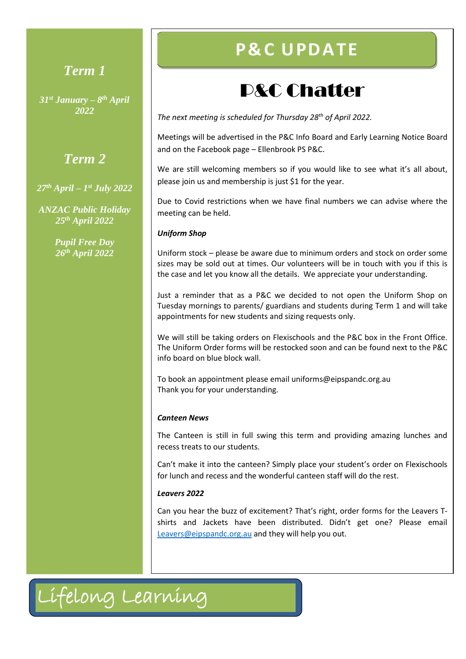## *Term 1*

*31st January – 8 th April 2022*

### *Term 2*

*27th April – 1 st July 2022*

*ANZAC Public Holiday 25th April 2022*

> *Pupil Free Day 26th April 2022*

## **P& C U PD ATE**

## P&C Chatter

*The next meeting is scheduled for Thursday 28th of April 2022.* 

Meetings will be advertised in the P&C Info Board and Early Learning Notice Board and on the Facebook page – Ellenbrook PS P&C.

We are still welcoming members so if you would like to see what it's all about, please join us and membership is just \$1 for the year.

Due to Covid restrictions when we have final numbers we can advise where the meeting can be held.

#### *Uniform Shop*

Uniform stock – please be aware due to minimum orders and stock on order some sizes may be sold out at times. Our volunteers will be in touch with you if this is the case and let you know all the details. We appreciate your understanding.

Just a reminder that as a P&C we decided to not open the Uniform Shop on Tuesday mornings to parents/ guardians and students during Term 1 and will take appointments for new students and sizing requests only.

We will still be taking orders on Flexischools and the P&C box in the Front Office. The Uniform Order forms will be restocked soon and can be found next to the P&C info board on blue block wall.

To book an appointment please email uniforms@eipspandc.org.au Thank you for your understanding.

#### *Canteen News*

The Canteen is still in full swing this term and providing amazing lunches and recess treats to our students.

Can't make it into the canteen? Simply place your student's order on Flexischools for lunch and recess and the wonderful canteen staff will do the rest.

#### *Leavers 2022*

Can you hear the buzz of excitement? That's right, order forms for the Leavers Tshirts and Jackets have been distributed. Didn't get one? Please email [Leavers@eipspandc.org.au](mailto:Leavers@eipspandc.org.au) and they will help you out.

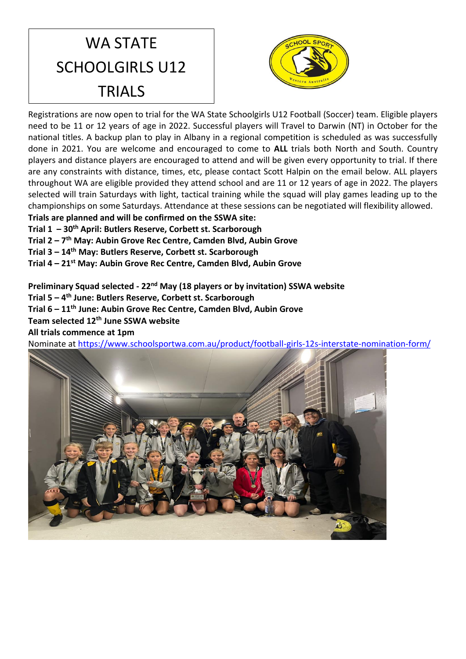## WA STATE SCHOOLGIRLS U12 TRIALS



Registrations are now open to trial for the WA State Schoolgirls U12 Football (Soccer) team. Eligible players need to be 11 or 12 years of age in 2022. Successful players will Travel to Darwin (NT) in October for the national titles. A backup plan to play in Albany in a regional competition is scheduled as was successfully done in 2021. You are welcome and encouraged to come to **ALL** trials both North and South. Country players and distance players are encouraged to attend and will be given every opportunity to trial. If there are any constraints with distance, times, etc, please contact Scott Halpin on the email below. ALL players throughout WA are eligible provided they attend school and are 11 or 12 years of age in 2022. The players selected will train Saturdays with light, tactical training while the squad will play games leading up to the championships on some Saturdays. Attendance at these sessions can be negotiated will flexibility allowed.

**Trials are planned and will be confirmed on the SSWA site:**

**Trial 1 – 30th April: Butlers Reserve, Corbett st. Scarborough**

**Trial 2 – 7 th May: Aubin Grove Rec Centre, Camden Blvd, Aubin Grove**

**Trial 3 – 14th May: Butlers Reserve, Corbett st. Scarborough**

**Trial 4 – 21st May: Aubin Grove Rec Centre, Camden Blvd, Aubin Grove**

**Preliminary Squad selected - 22nd May (18 players or by invitation) SSWA website**

**Trial 5 – 4 th June: Butlers Reserve, Corbett st. Scarborough**

**Trial 6 – 11th June: Aubin Grove Rec Centre, Camden Blvd, Aubin Grove**

**Team selected 12th June SSWA website** 

**All trials commence at 1pm**

Nominate at<https://www.schoolsportwa.com.au/product/football-girls-12s-interstate-nomination-form/>